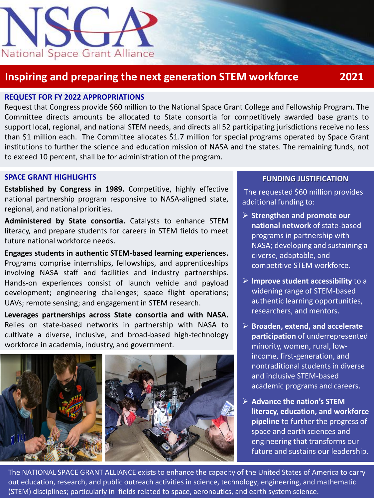

## **Inspiring and preparing the next generation STEM workforce 2021**

### **REQUEST FOR FY 2022 APPROPRIATIONS**

Request that Congress provide \$60 million to the National Space Grant College and Fellowship Program. The Committee directs amounts be allocated to State consortia for competitively awarded base grants to support local, regional, and national STEM needs, and directs all 52 participating jurisdictions receive no less than \$1 million each. The Committee allocates \$1.7 million for special programs operated by Space Grant institutions to further the science and education mission of NASA and the states. The remaining funds, not to exceed 10 percent, shall be for administration of the program.

#### **SPACE GRANT HIGHLIGHTS**

**Established by Congress in 1989.** Competitive, highly effective national partnership program responsive to NASA-aligned state, regional, and national priorities.

**Administered by State consortia.** Catalysts to enhance STEM literacy, and prepare students for careers in STEM fields to meet future national workforce needs.

**Engages students in authentic STEM-based learning experiences.** Programs comprise internships, fellowships, and apprenticeships involving NASA staff and facilities and industry partnerships. Hands-on experiences consist of launch vehicle and payload development; engineering challenges; space flight operations; UAVs; remote sensing; and engagement in STEM research.

**Leverages partnerships across State consortia and with NASA.** Relies on state-based networks in partnership with NASA to cultivate a diverse, inclusive, and broad-based high-technology workforce in academia, industry, and government.



### **FUNDING JUSTIFICATION**

The requested \$60 million provides additional funding to:

- ➢ **Strengthen and promote our national network** of state-based programs in partnership with NASA; developing and sustaining a diverse, adaptable, and competitive STEM workforce.
- ➢ **Improve student accessibility** to a widening range of STEM-based authentic learning opportunities, researchers, and mentors.
- ➢ **Broaden, extend, and accelerate participation** of underrepresented minority, women, rural, lowincome, first-generation, and nontraditional students in diverse and inclusive STEM-based academic programs and careers.
- ➢ **Advance the nation's STEM literacy, education, and workforce pipeline** to further the progress of space and earth sciences and engineering that transforms our future and sustains our leadership.

The NATIONAL SPACE GRANT ALLIANCE exists to enhance the capacity of the United States of America to carry out education, research, and public outreach activities in science, technology, engineering, and mathematic (STEM) disciplines; particularly in fields related to space, aeronautics, and earth system science.